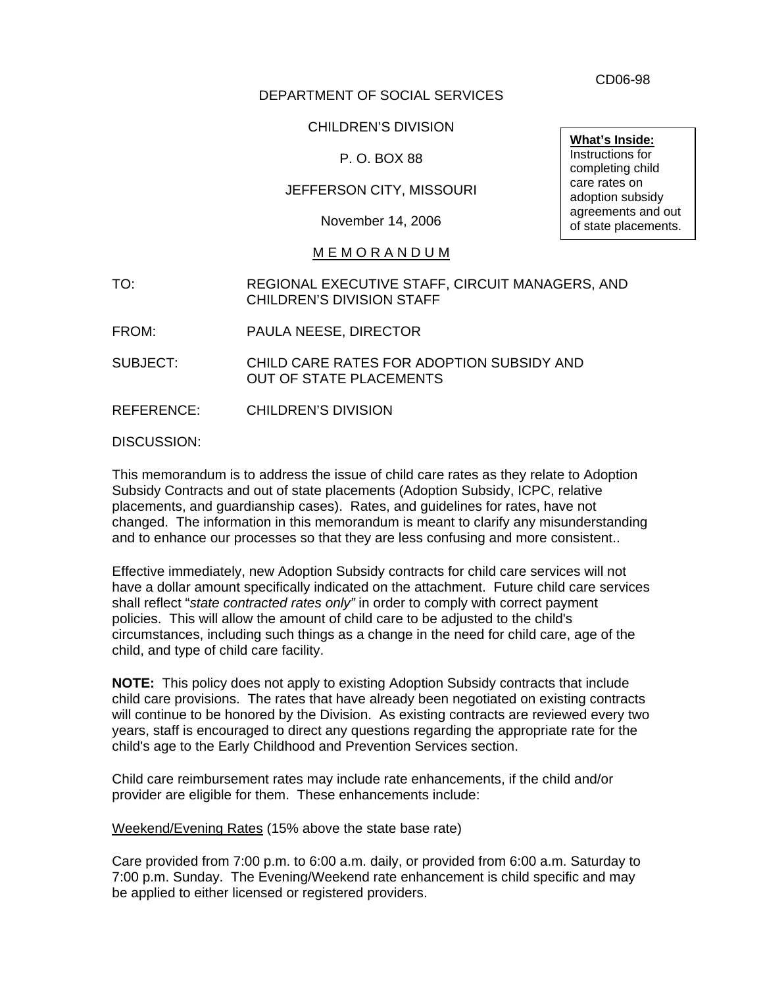CD06-98

## DEPARTMENT OF SOCIAL SERVICES

CHILDREN'S DIVISION

P. O. BOX 88

JEFFERSON CITY, MISSOURI

November 14, 2006

## M E M O R A N D U M

- TO: REGIONAL EXECUTIVE STAFF, CIRCUIT MANAGERS, AND CHILDREN'S DIVISION STAFF
- FROM: PAULA NEESE, DIRECTOR

SUBJECT: CHILD CARE RATES FOR ADOPTION SUBSIDY AND OUT OF STATE PLACEMENTS

REFERENCE: CHILDREN'S DIVISION

DISCUSSION:

This memorandum is to address the issue of child care rates as they relate to Adoption Subsidy Contracts and out of state placements (Adoption Subsidy, ICPC, relative placements, and guardianship cases). Rates, and guidelines for rates, have not changed. The information in this memorandum is meant to clarify any misunderstanding and to enhance our processes so that they are less confusing and more consistent..

Effective immediately, new Adoption Subsidy contracts for child care services will not have a dollar amount specifically indicated on the attachment. Future child care services shall reflect "*state contracted rates only"* in order to comply with correct payment policies. This will allow the amount of child care to be adjusted to the child's circumstances, including such things as a change in the need for child care, age of the child, and type of child care facility.

**NOTE:** This policy does not apply to existing Adoption Subsidy contracts that include child care provisions. The rates that have already been negotiated on existing contracts will continue to be honored by the Division. As existing contracts are reviewed every two years, staff is encouraged to direct any questions regarding the appropriate rate for the child's age to the Early Childhood and Prevention Services section.

Child care reimbursement rates may include rate enhancements, if the child and/or provider are eligible for them. These enhancements include:

Weekend/Evening Rates (15% above the state base rate)

Care provided from 7:00 p.m. to 6:00 a.m. daily, or provided from 6:00 a.m. Saturday to 7:00 p.m. Sunday. The Evening/Weekend rate enhancement is child specific and may be applied to either licensed or registered providers.

**What's Inside:** Instructions for completing child care rates on adoption subsidy agreements and out of state placements.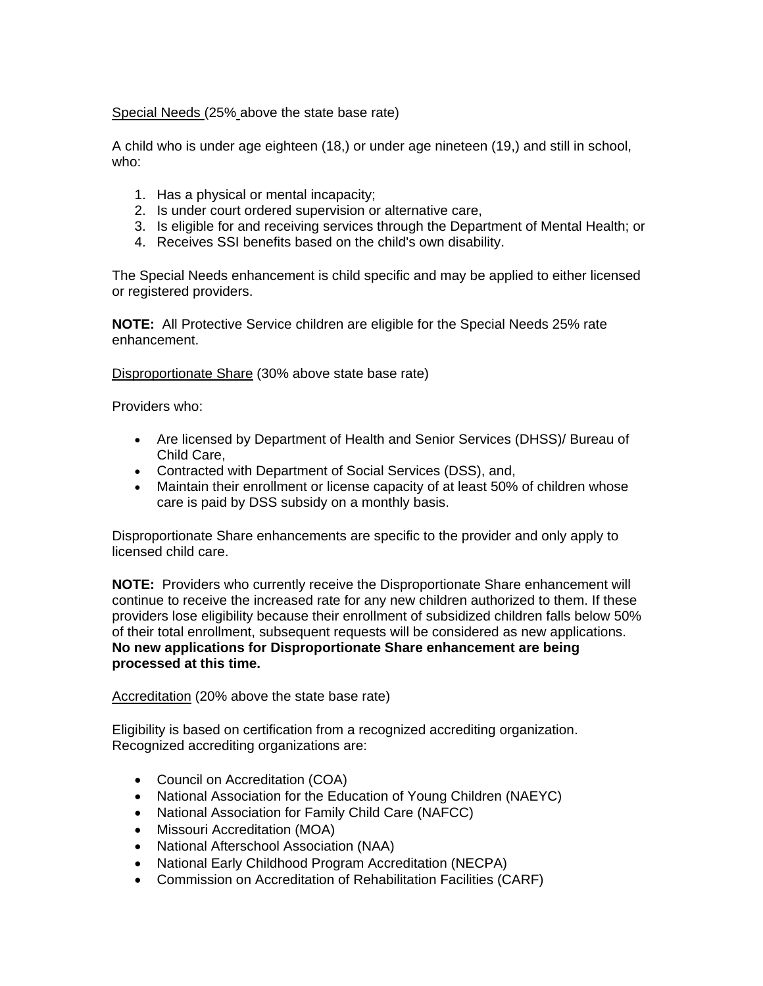Special Needs (25% above the state base rate)

A child who is under age eighteen (18,) or under age nineteen (19,) and still in school, who:

- 1. Has a physical or mental incapacity;
- 2. Is under court ordered supervision or alternative care,
- 3. Is eligible for and receiving services through the Department of Mental Health; or
- 4. Receives SSI benefits based on the child's own disability.

The Special Needs enhancement is child specific and may be applied to either licensed or registered providers.

**NOTE:** All Protective Service children are eligible for the Special Needs 25% rate enhancement.

Disproportionate Share (30% above state base rate)

Providers who:

- Are licensed by Department of Health and Senior Services (DHSS)/ Bureau of Child Care,
- Contracted with Department of Social Services (DSS), and,
- Maintain their enrollment or license capacity of at least 50% of children whose care is paid by DSS subsidy on a monthly basis.

Disproportionate Share enhancements are specific to the provider and only apply to licensed child care.

**NOTE:** Providers who currently receive the Disproportionate Share enhancement will continue to receive the increased rate for any new children authorized to them. If these providers lose eligibility because their enrollment of subsidized children falls below 50% of their total enrollment, subsequent requests will be considered as new applications. **No new applications for Disproportionate Share enhancement are being processed at this time.** 

Accreditation (20% above the state base rate)

Eligibility is based on certification from a recognized accrediting organization. Recognized accrediting organizations are:

- Council on Accreditation (COA)
- National Association for the Education of Young Children (NAEYC)
- National Association for Family Child Care (NAFCC)
- Missouri Accreditation (MOA)
- National Afterschool Association (NAA)
- National Early Childhood Program Accreditation (NECPA)
- Commission on Accreditation of Rehabilitation Facilities (CARF)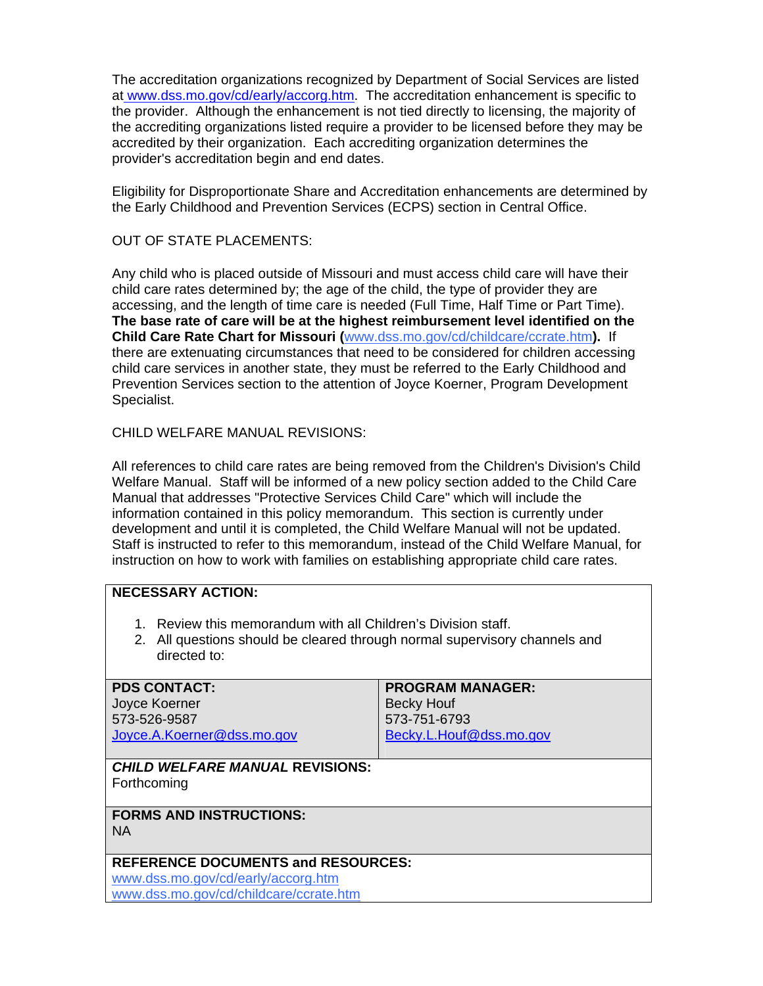The accreditation organizations recognized by Department of Social Services are listed a[t www.dss.mo.gov/cd/early/accorg.htm](http://www.dss.mo.gov/cd/early/accorg.htm). The accreditation enhancement is specific to the provider. Although the enhancement is not tied directly to licensing, the majority of the accrediting organizations listed require a provider to be licensed before they may be accredited by their organization. Each accrediting organization determines the provider's accreditation begin and end dates.

Eligibility for Disproportionate Share and Accreditation enhancements are determined by the Early Childhood and Prevention Services (ECPS) section in Central Office.

## OUT OF STATE PLACEMENTS:

Any child who is placed outside of Missouri and must access child care will have their child care rates determined by; the age of the child, the type of provider they are accessing, and the length of time care is needed (Full Time, Half Time or Part Time). **The base rate of care will be at the highest reimbursement level identified on the Child Care Rate Chart for Missouri (**[www.dss.mo.gov/cd/childcare/ccrate.htm](http://www.dss.mo.gov/cd/childcare/ccrate.htm)**).** If there are extenuating circumstances that need to be considered for children accessing child care services in another state, they must be referred to the Early Childhood and Prevention Services section to the attention of Joyce Koerner, Program Development Specialist.

CHILD WELFARE MANUAL REVISIONS:

All references to child care rates are being removed from the Children's Division's Child Welfare Manual. Staff will be informed of a new policy section added to the Child Care Manual that addresses "Protective Services Child Care" which will include the information contained in this policy memorandum. This section is currently under development and until it is completed, the Child Welfare Manual will not be updated. Staff is instructed to refer to this memorandum, instead of the Child Welfare Manual, for instruction on how to work with families on establishing appropriate child care rates.

## **NECESSARY ACTION:**

- 1. Review this memorandum with all Children's Division staff.
- 2. All questions should be cleared through normal supervisory channels and directed to:

| <b>PDS CONTACT:</b><br>Joyce Koerner<br>573-526-9587<br>Joyce.A.Koerner@dss.mo.gov | <b>PROGRAM MANAGER:</b><br><b>Becky Houf</b><br>573-751-6793<br>Becky.L.Houf@dss.mo.gov |
|------------------------------------------------------------------------------------|-----------------------------------------------------------------------------------------|
| <b>CHILD WELFARE MANUAL REVISIONS:</b><br>Forthcoming                              |                                                                                         |
| <b>FORMS AND INSTRUCTIONS:</b><br><b>NA</b>                                        |                                                                                         |

# **REFERENCE DOCUMENTS and RESOURCES:**

[www.dss.mo.gov/cd/early/accorg.htm](http://www.dss.mo.gov/cd/early/accorg.htm) [www.dss.mo.gov/cd/childcare/ccrate.htm](http://www.dss.mo.gov/cd/childcare/ccrate.htm)